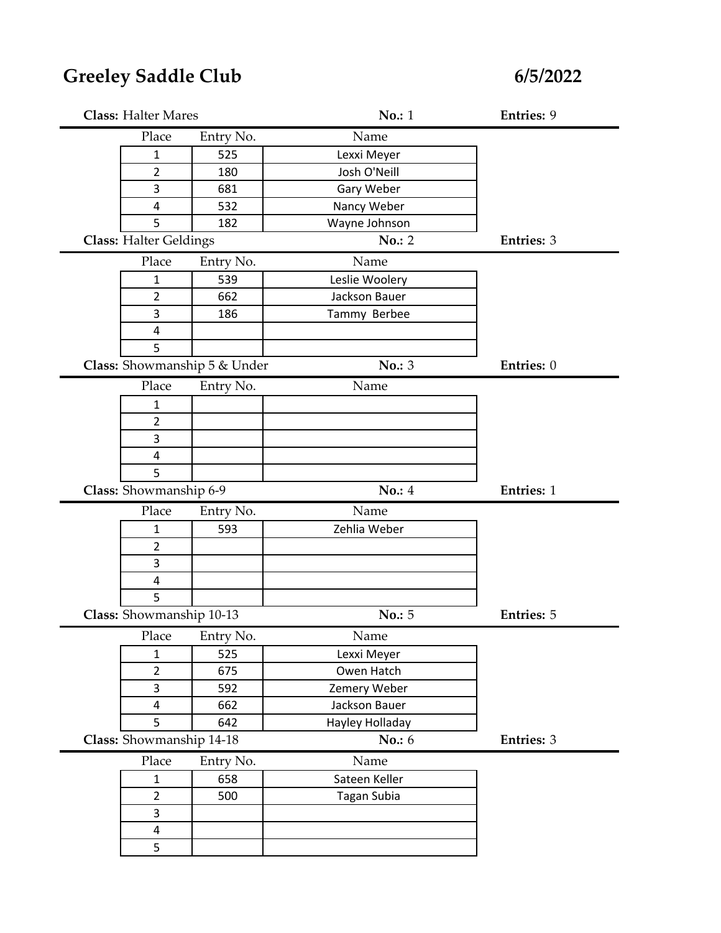## **Greeley Saddle Club**

**6/5/2022**

| <b>Class: Halter Mares</b>    |                              | <b>No.: 1</b>   | Entries: 9        |
|-------------------------------|------------------------------|-----------------|-------------------|
| Place                         | Entry No.                    | Name            |                   |
| $\mathbf{1}$                  | 525                          | Lexxi Meyer     |                   |
| 2                             | 180                          | Josh O'Neill    |                   |
| 3                             | 681                          | Gary Weber      |                   |
| 4                             | 532                          | Nancy Weber     |                   |
| 5                             | 182                          | Wayne Johnson   |                   |
| <b>Class: Halter Geldings</b> |                              | No.: 2          | <b>Entries: 3</b> |
| Place                         | Entry No.                    | Name            |                   |
| 1                             | 539                          | Leslie Woolery  |                   |
| $\overline{2}$                | 662                          | Jackson Bauer   |                   |
| 3                             | 186                          | Tammy Berbee    |                   |
| 4                             |                              |                 |                   |
| 5                             |                              |                 |                   |
|                               | Class: Showmanship 5 & Under | No.: 3          | Entries: 0        |
| Place                         | Entry No.                    | Name            |                   |
| 1                             |                              |                 |                   |
| $\overline{2}$                |                              |                 |                   |
| 3                             |                              |                 |                   |
| 4                             |                              |                 |                   |
| 5                             |                              |                 |                   |
|                               |                              |                 |                   |
| Class: Showmanship 6-9        |                              | No.: 4          | <b>Entries: 1</b> |
| Place                         | Entry No.                    | Name            |                   |
| $\mathbf{1}$                  | 593                          | Zehlia Weber    |                   |
| $\overline{2}$                |                              |                 |                   |
| 3                             |                              |                 |                   |
| 4                             |                              |                 |                   |
| 5                             |                              |                 |                   |
| Class: Showmanship 10-13      |                              | No.: 5          | <b>Entries: 5</b> |
| Place                         | Entry No.                    | Name            |                   |
| $\mathbf{1}$                  | 525                          | Lexxi Meyer     |                   |
| $\overline{2}$                | 675                          | Owen Hatch      |                   |
| 3                             | 592                          | Zemery Weber    |                   |
| $\overline{\mathbf{4}}$       | 662                          | Jackson Bauer   |                   |
| 5                             | 642                          | Hayley Holladay |                   |
| Class: Showmanship 14-18      |                              | <b>No.: 6</b>   | <b>Entries: 3</b> |
| Place                         | Entry No.                    | Name            |                   |
| $\mathbf{1}$                  | 658                          | Sateen Keller   |                   |
| $\overline{2}$                | 500                          | Tagan Subia     |                   |
| $\overline{3}$                |                              |                 |                   |
| $\overline{4}$<br>5           |                              |                 |                   |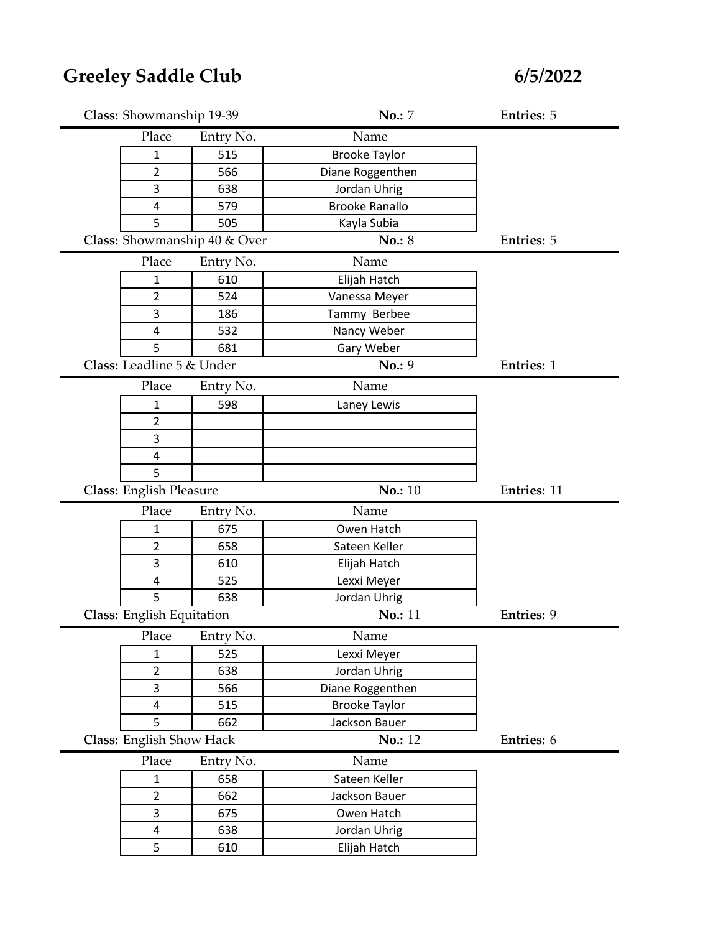| Class: Showmanship 19-39  |                              | <b>No.: 7</b>         | <b>Entries: 5</b>  |
|---------------------------|------------------------------|-----------------------|--------------------|
| Place                     | Entry No.                    | Name                  |                    |
| 1                         | 515                          | <b>Brooke Taylor</b>  |                    |
| 2                         | 566                          | Diane Roggenthen      |                    |
| 3                         | 638                          | Jordan Uhrig          |                    |
| 4                         | 579                          | <b>Brooke Ranallo</b> |                    |
| 5                         | 505                          | Kayla Subia           |                    |
|                           | Class: Showmanship 40 & Over | No.: 8                | <b>Entries: 5</b>  |
| Place                     | Entry No.                    | Name                  |                    |
| $\mathbf{1}$              | 610                          | Elijah Hatch          |                    |
| $\overline{2}$            | 524                          | Vanessa Meyer         |                    |
| 3                         | 186                          | Tammy Berbee          |                    |
| 4                         | 532                          | Nancy Weber           |                    |
| 5                         | 681                          | Gary Weber            |                    |
| Class: Leadline 5 & Under |                              | No.: 9                | <b>Entries: 1</b>  |
| Place                     | Entry No.                    | Name                  |                    |
| 1                         | 598                          | Laney Lewis           |                    |
| $\overline{2}$            |                              |                       |                    |
| 3                         |                              |                       |                    |
| 4                         |                              |                       |                    |
| 5                         |                              |                       |                    |
|                           |                              |                       |                    |
| Class: English Pleasure   |                              | No.: 10               | <b>Entries: 11</b> |
| Place                     | Entry No.                    | Name                  |                    |
| 1                         | 675                          | Owen Hatch            |                    |
| $\overline{2}$            | 658                          | Sateen Keller         |                    |
| 3                         | 610                          | Elijah Hatch          |                    |
| 4                         | 525                          | Lexxi Meyer           |                    |
| 5                         | 638                          | Jordan Uhrig          |                    |
| Class: English Equitation |                              | No.: 11               | <b>Entries: 9</b>  |
| Place                     | Entry No.                    | $\rm Name$            |                    |
| $\mathbf{1}$              | 525                          | Lexxi Meyer           |                    |
| $\overline{2}$            | 638                          | Jordan Uhrig          |                    |
| 3                         | 566                          | Diane Roggenthen      |                    |
| 4                         | 515                          | <b>Brooke Taylor</b>  |                    |
| 5                         | 662                          | Jackson Bauer         |                    |
| Class: English Show Hack  |                              | No.: 12               | Entries: 6         |
| Place                     | Entry No.                    | Name                  |                    |
| $\mathbf{1}$              | 658                          | Sateen Keller         |                    |
| $\overline{2}$            | 662                          | Jackson Bauer         |                    |
| 3                         | 675                          | Owen Hatch            |                    |
| 4                         | 638                          | Jordan Uhrig          |                    |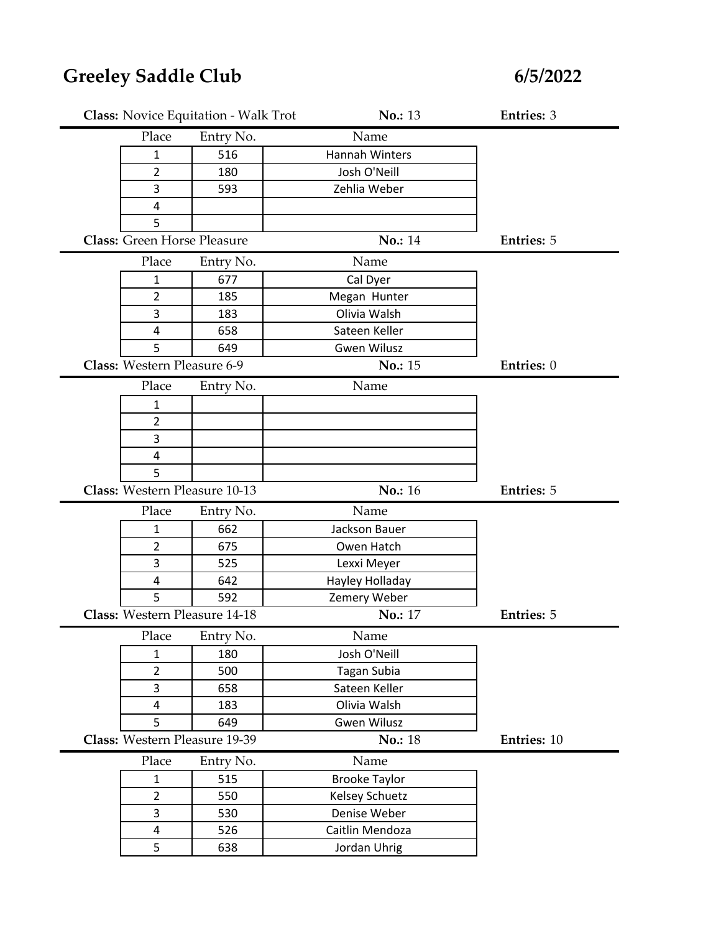|                                    | <b>Class:</b> Novice Equitation - Walk Trot | No.: 13              | <b>Entries: 3</b> |
|------------------------------------|---------------------------------------------|----------------------|-------------------|
| Place                              | Entry No.                                   | Name                 |                   |
| 1                                  | 516                                         | Hannah Winters       |                   |
| $\overline{2}$                     | 180                                         | Josh O'Neill         |                   |
| 3                                  | 593                                         | Zehlia Weber         |                   |
| 4                                  |                                             |                      |                   |
| 5                                  |                                             |                      |                   |
| <b>Class: Green Horse Pleasure</b> |                                             | No.: 14              | <b>Entries: 5</b> |
| Place                              | Entry No.                                   | Name                 |                   |
| $\mathbf{1}$                       | 677                                         | Cal Dyer             |                   |
| $\overline{2}$                     | 185                                         | Megan Hunter         |                   |
| 3                                  | 183                                         | Olivia Walsh         |                   |
| $\overline{4}$                     | 658                                         | Sateen Keller        |                   |
| 5                                  | 649                                         | <b>Gwen Wilusz</b>   |                   |
| Class: Western Pleasure 6-9        |                                             | No.: 15              | Entries: 0        |
| Place                              | Entry No.                                   | Name                 |                   |
| $\mathbf{1}$                       |                                             |                      |                   |
| 2                                  |                                             |                      |                   |
| 3                                  |                                             |                      |                   |
| $\overline{4}$                     |                                             |                      |                   |
| 5                                  |                                             |                      |                   |
|                                    |                                             |                      |                   |
| Class: Western Pleasure 10-13      |                                             | No.: 16              | <b>Entries: 5</b> |
| Place                              | Entry No.                                   | Name                 |                   |
| 1                                  | 662                                         | Jackson Bauer        |                   |
| $\overline{2}$                     | 675                                         | Owen Hatch           |                   |
| 3                                  | 525                                         | Lexxi Meyer          |                   |
| 4                                  | 642                                         | Hayley Holladay      |                   |
| 5                                  | 592                                         | Zemery Weber         |                   |
| Class: Western Pleasure 14-18      |                                             | No.: 17              | <b>Entries: 5</b> |
| Place                              | Entry No.                                   | Name                 |                   |
| $\mathbf{1}$                       | 180                                         | Josh O'Neill         |                   |
| $\overline{2}$                     | 500                                         | Tagan Subia          |                   |
| 3                                  | 658                                         | Sateen Keller        |                   |
| $\overline{4}$                     | 183                                         | Olivia Walsh         |                   |
| 5                                  | 649                                         | <b>Gwen Wilusz</b>   |                   |
| Class: Western Pleasure 19-39      |                                             | <b>No.: 18</b>       | Entries: 10       |
| Place                              | Entry No.                                   | Name                 |                   |
| $\mathbf{1}$                       | 515                                         | <b>Brooke Taylor</b> |                   |
| $\overline{2}$                     | 550                                         | Kelsey Schuetz       |                   |
| 3                                  | 530                                         | Denise Weber         |                   |
| $\overline{\mathbf{4}}$            | 526                                         | Caitlin Mendoza      |                   |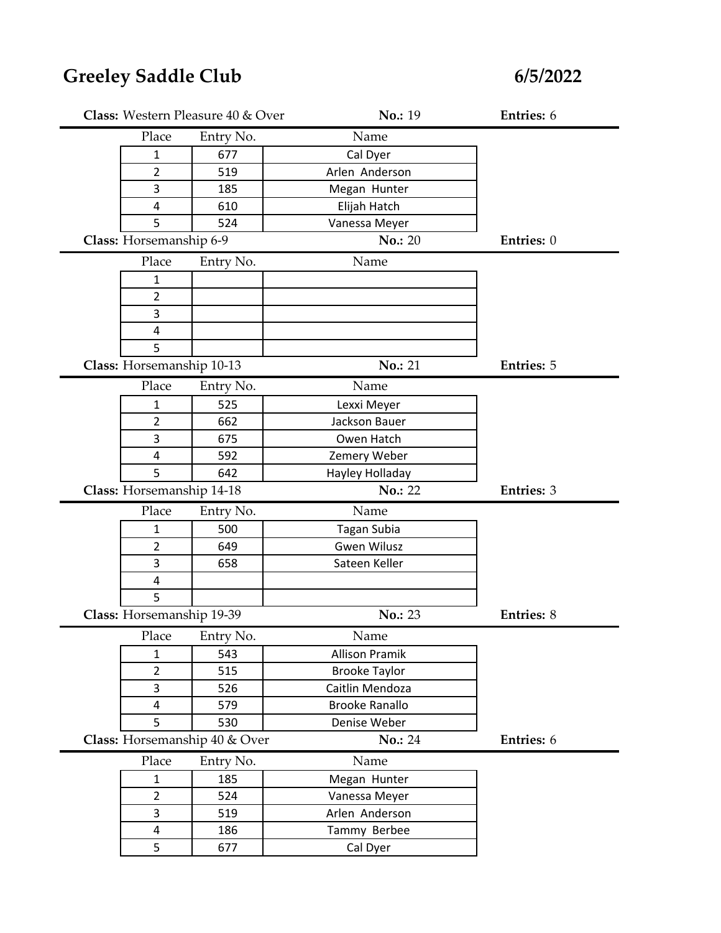|                           | Class: Western Pleasure 40 & Over | No.: 19               | Entries: 6        |
|---------------------------|-----------------------------------|-----------------------|-------------------|
| Place                     | Entry No.                         | Name                  |                   |
| 1                         | 677                               | Cal Dyer              |                   |
| $\overline{2}$            | 519                               | Arlen Anderson        |                   |
| 3                         | 185                               | Megan Hunter          |                   |
| $\overline{\mathbf{4}}$   | 610                               | Elijah Hatch          |                   |
| 5                         | 524                               | Vanessa Meyer         |                   |
| Class: Horsemanship 6-9   |                                   | <b>No.: 20</b>        | Entries: 0        |
| Place                     | Entry No.                         | Name                  |                   |
| $\mathbf{1}$              |                                   |                       |                   |
| $\overline{2}$            |                                   |                       |                   |
| 3                         |                                   |                       |                   |
| 4                         |                                   |                       |                   |
| 5                         |                                   |                       |                   |
| Class: Horsemanship 10-13 |                                   | No.: 21               | <b>Entries: 5</b> |
| Place                     | Entry No.                         | Name                  |                   |
| 1                         | 525                               | Lexxi Meyer           |                   |
| $\overline{2}$            | 662                               | Jackson Bauer         |                   |
| 3                         | 675                               | Owen Hatch            |                   |
| 4                         | 592                               | Zemery Weber          |                   |
| 5                         | 642                               | Hayley Holladay       |                   |
| Class: Horsemanship 14-18 |                                   | No.: 22               | <b>Entries: 3</b> |
| Place                     | Entry No.                         | Name                  |                   |
| 1                         | 500                               | <b>Tagan Subia</b>    |                   |
| $\overline{2}$            | 649                               | <b>Gwen Wilusz</b>    |                   |
| 3                         | 658                               | Sateen Keller         |                   |
| $\overline{\mathbf{4}}$   |                                   |                       |                   |
| 5                         |                                   |                       |                   |
| Class: Horsemanship 19-39 |                                   | No.: 23               | <b>Entries: 8</b> |
| Place                     | Entry No.                         | $\rm Name$            |                   |
| $\mathbf{1}$              | 543                               | <b>Allison Pramik</b> |                   |
| $\overline{2}$            | 515                               | <b>Brooke Taylor</b>  |                   |
| 3                         | 526                               | Caitlin Mendoza       |                   |
| 4                         | 579                               | <b>Brooke Ranallo</b> |                   |
| 5                         | 530                               | Denise Weber          |                   |
|                           | Class: Horsemanship 40 & Over     | <b>No.: 24</b>        | Entries: 6        |
| Place                     | Entry No.                         | Name                  |                   |
| $\mathbf{1}$              | 185                               | Megan Hunter          |                   |
| $\overline{2}$            | 524                               | Vanessa Meyer         |                   |
| 3                         | 519                               | Arlen Anderson        |                   |
| 4                         | 186                               | Tammy Berbee          |                   |
| 5                         | 677                               | Cal Dyer              |                   |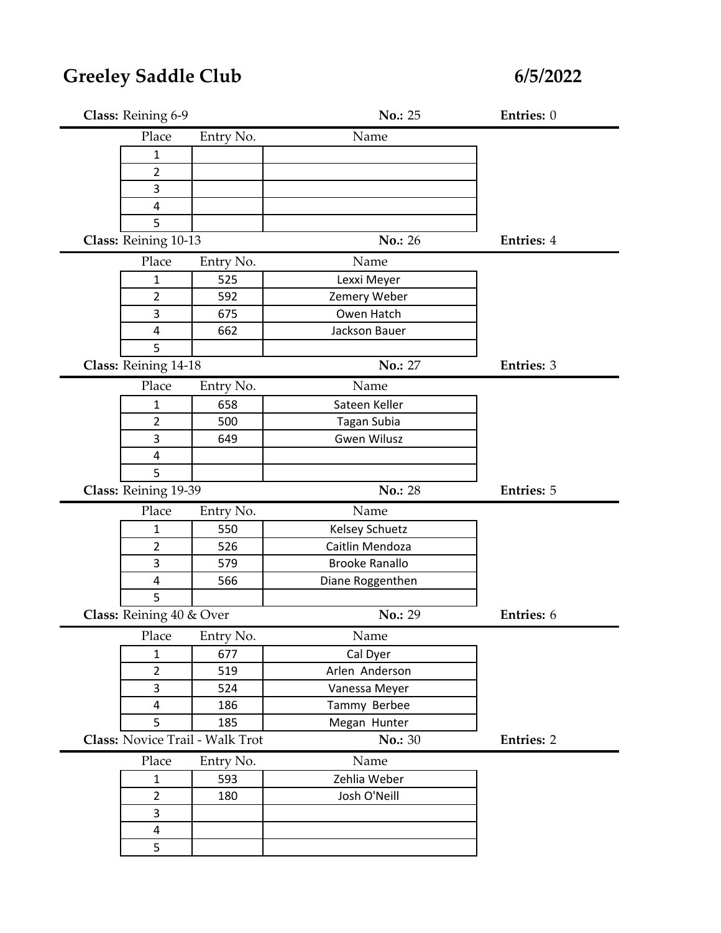| Class: Reining 6-9       |                                 | <b>No.: 25</b>        | Entries: 0        |
|--------------------------|---------------------------------|-----------------------|-------------------|
| Place                    | Entry No.                       | Name                  |                   |
| 1                        |                                 |                       |                   |
| 2                        |                                 |                       |                   |
| 3                        |                                 |                       |                   |
| 4                        |                                 |                       |                   |
| 5                        |                                 |                       |                   |
| Class: Reining 10-13     |                                 | No.: 26               | <b>Entries: 4</b> |
| Place                    | Entry No.                       | Name                  |                   |
| 1                        | 525                             | Lexxi Meyer           |                   |
| 2                        | 592                             | Zemery Weber          |                   |
| 3                        | 675                             | Owen Hatch            |                   |
| 4                        | 662                             | Jackson Bauer         |                   |
| 5                        |                                 |                       |                   |
| Class: Reining 14-18     |                                 | <b>No.: 27</b>        | Entries: 3        |
| Place                    | Entry No.                       | Name                  |                   |
| 1                        | 658                             | Sateen Keller         |                   |
| $\overline{2}$           | 500                             | Tagan Subia           |                   |
| 3                        | 649                             | <b>Gwen Wilusz</b>    |                   |
| 4                        |                                 |                       |                   |
| 5                        |                                 |                       |                   |
| Class: Reining 19-39     |                                 | No.: 28               | <b>Entries: 5</b> |
| Place                    | Entry No.                       | Name                  |                   |
| 1                        | 550                             | <b>Kelsey Schuetz</b> |                   |
| 2                        | 526                             | Caitlin Mendoza       |                   |
| 3                        | 579                             | <b>Brooke Ranallo</b> |                   |
| 4                        | 566                             | Diane Roggenthen      |                   |
| 5                        |                                 |                       |                   |
| Class: Reining 40 & Over |                                 | No.: 29               | Entries: 6        |
| Place                    | Entry No.                       | $\rm Name$            |                   |
| $\mathbf{1}$             | 677                             | Cal Dyer              |                   |
| $\overline{2}$           | 519                             | Arlen Anderson        |                   |
| 3                        | 524                             | Vanessa Meyer         |                   |
| $\overline{4}$           | 186                             | Tammy Berbee          |                   |
| 5                        | 185                             | Megan Hunter          |                   |
|                          | Class: Novice Trail - Walk Trot | <b>No.: 30</b>        | <b>Entries: 2</b> |
| Place                    | Entry No.                       | Name                  |                   |
| $\mathbf{1}$             | 593                             | Zehlia Weber          |                   |
| $\overline{2}$           | 180                             | Josh O'Neill          |                   |
| 3                        |                                 |                       |                   |
| $\overline{4}$           |                                 |                       |                   |
| 5                        |                                 |                       |                   |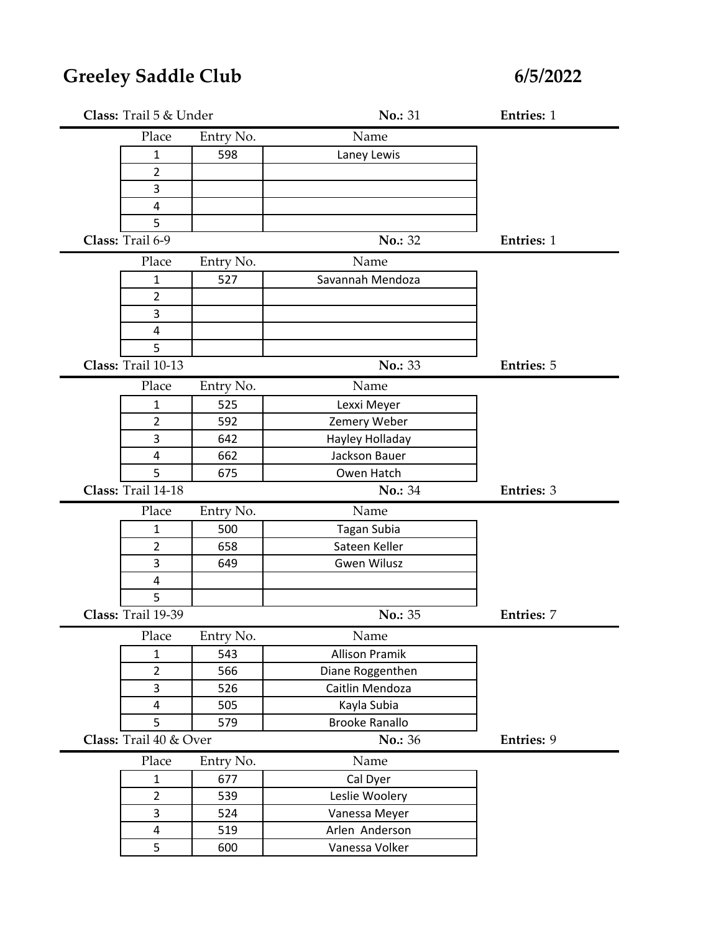| Class: Trail 5 & Under  |           | No.: 31               | <b>Entries: 1</b> |
|-------------------------|-----------|-----------------------|-------------------|
| Place                   | Entry No. | Name                  |                   |
| $\mathbf 1$             | 598       | Laney Lewis           |                   |
| $\overline{2}$          |           |                       |                   |
| 3                       |           |                       |                   |
| 4                       |           |                       |                   |
| 5                       |           |                       |                   |
| Class: Trail 6-9        |           | No.: 32               | <b>Entries: 1</b> |
| Place                   | Entry No. | Name                  |                   |
| $\mathbf{1}$            | 527       | Savannah Mendoza      |                   |
| $\overline{2}$          |           |                       |                   |
| 3                       |           |                       |                   |
| 4                       |           |                       |                   |
| 5                       |           |                       |                   |
| Class: Trail 10-13      |           | No.: 33               | <b>Entries: 5</b> |
| Place                   | Entry No. | Name                  |                   |
| $\mathbf{1}$            | 525       | Lexxi Meyer           |                   |
| 2                       | 592       | Zemery Weber          |                   |
| 3                       | 642       | Hayley Holladay       |                   |
| $\overline{\mathbf{4}}$ | 662       | Jackson Bauer         |                   |
| 5                       | 675       | Owen Hatch            |                   |
| Class: Trail 14-18      |           | No.: 34               | Entries: 3        |
| Place                   | Entry No. | Name                  |                   |
| 1                       | 500       | Tagan Subia           |                   |
| $\overline{2}$          | 658       | Sateen Keller         |                   |
| 3                       | 649       | <b>Gwen Wilusz</b>    |                   |
|                         |           |                       |                   |
| $\overline{4}$          |           |                       |                   |
| 5                       |           |                       |                   |
| Class: Trail 19-39      |           | No.: 35               | <b>Entries: 7</b> |
| Place                   | Entry No. | Name                  |                   |
| $\mathbf{1}$            | 543       | <b>Allison Pramik</b> |                   |
| $\overline{2}$          | 566       | Diane Roggenthen      |                   |
| 3                       | 526       | Caitlin Mendoza       |                   |
| $\pmb{4}$               | 505       | Kayla Subia           |                   |
| 5                       | 579       | <b>Brooke Ranallo</b> |                   |
| Class: Trail 40 & Over  |           | No.: 36               | Entries: 9        |
| Place                   | Entry No. | Name                  |                   |
| $\mathbf{1}$            | 677       | Cal Dyer              |                   |
| $\overline{2}$          | 539       | Leslie Woolery        |                   |
| 3                       | 524       | Vanessa Meyer         |                   |
| $\overline{\mathbf{4}}$ | 519       | Arlen Anderson        |                   |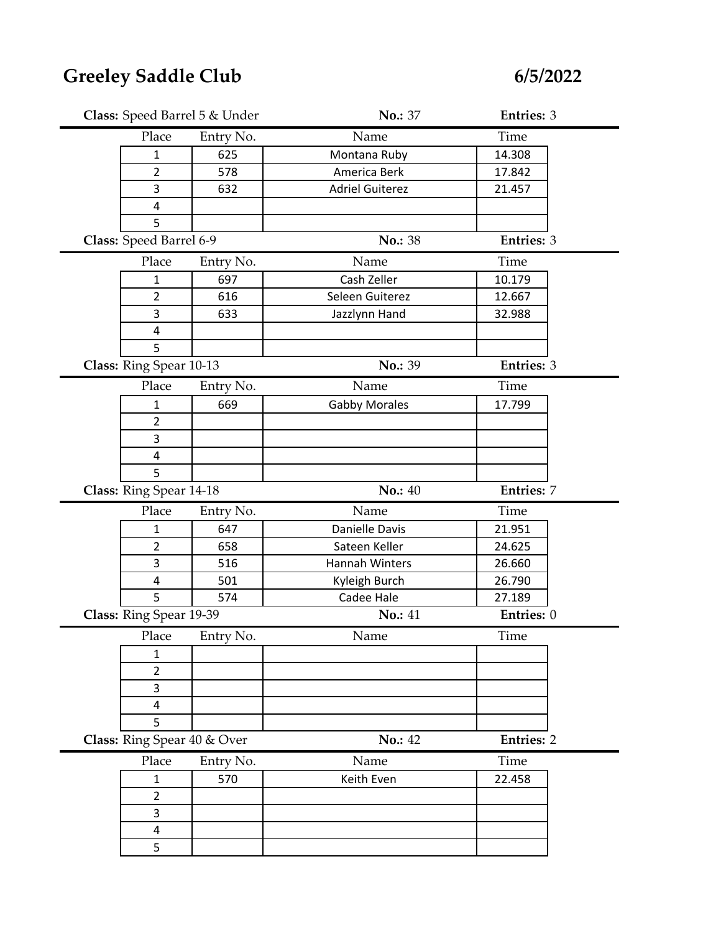| Class: Speed Barrel 5 & Under |           | No.: 37                | Entries: 3        |
|-------------------------------|-----------|------------------------|-------------------|
| Place                         | Entry No. | Name                   | Time              |
| 1                             | 625       | Montana Ruby           | 14.308            |
| $\overline{2}$                | 578       | America Berk           | 17.842            |
| 3                             | 632       | <b>Adriel Guiterez</b> | 21.457            |
| $\overline{4}$                |           |                        |                   |
| 5                             |           |                        |                   |
| Class: Speed Barrel 6-9       |           | No.: 38                | <b>Entries: 3</b> |
| Place                         | Entry No. | Name                   | Time              |
| $\mathbf{1}$                  | 697       | Cash Zeller            | 10.179            |
| $\overline{2}$                | 616       | Seleen Guiterez        | 12.667            |
| 3                             | 633       | Jazzlynn Hand          | 32.988            |
| $\overline{4}$                |           |                        |                   |
| 5                             |           |                        |                   |
| Class: Ring Spear 10-13       |           | No.: 39                | <b>Entries: 3</b> |
| Place                         | Entry No. | Name                   | Time              |
| $\mathbf{1}$                  | 669       | <b>Gabby Morales</b>   | 17.799            |
| $\overline{2}$                |           |                        |                   |
| 3                             |           |                        |                   |
| $\overline{4}$                |           |                        |                   |
| 5                             |           |                        |                   |
|                               |           |                        |                   |
| Class: Ring Spear 14-18       |           | <b>No.: 40</b>         | <b>Entries: 7</b> |
| Place                         | Entry No. | Name                   | Time              |
| $\mathbf{1}$                  | 647       | Danielle Davis         | 21.951            |
| $\overline{2}$                | 658       | Sateen Keller          | 24.625            |
| 3                             | 516       | Hannah Winters         | 26.660            |
| 4                             | 501       | Kyleigh Burch          | 26.790            |
| 5                             | 574       | Cadee Hale             | 27.189            |
| Class: Ring Spear 19-39       |           | No.: 41                | Entries: 0        |
| Place                         | Entry No. | Name                   | Time              |
| $\mathbf{1}$                  |           |                        |                   |
| $\overline{2}$                |           |                        |                   |
| 3                             |           |                        |                   |
| 4                             |           |                        |                   |
| 5                             |           |                        |                   |
| Class: Ring Spear 40 & Over   |           | No.: 42                | <b>Entries: 2</b> |
| Place                         | Entry No. | Name                   | Time              |
| $\mathbf{1}$                  | 570       | Keith Even             | 22.458            |
| 2                             |           |                        |                   |
| 3                             |           |                        |                   |
| $\overline{\mathbf{4}}$<br>5  |           |                        |                   |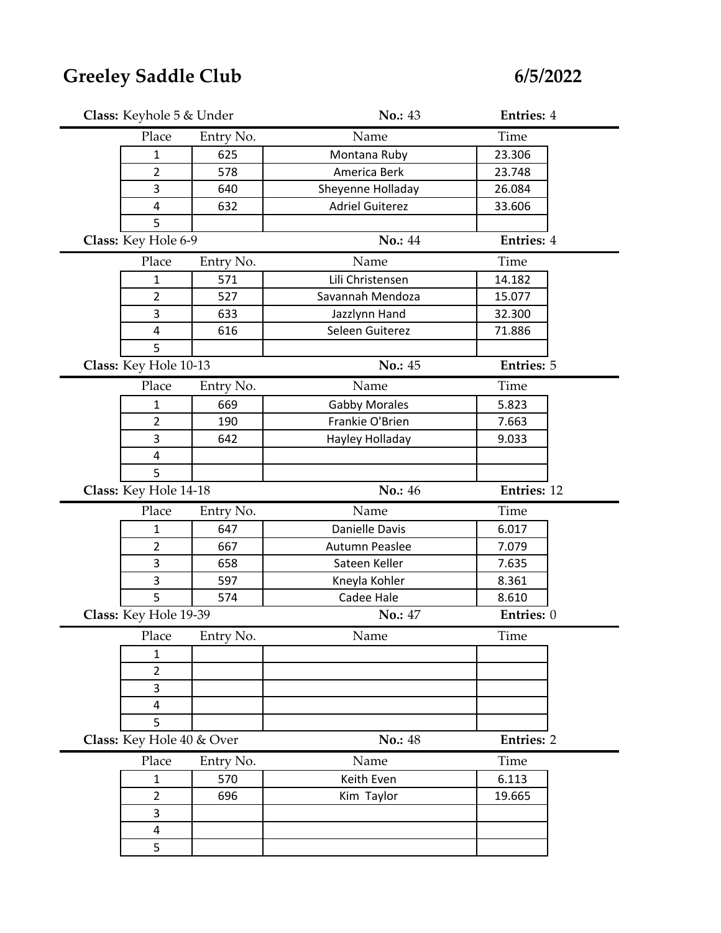| Class: Keyhole 5 & Under  |           | No.: 43                | <b>Entries: 4</b>  |  |
|---------------------------|-----------|------------------------|--------------------|--|
| Place                     | Entry No. | Name                   | Time               |  |
| 1                         | 625       | Montana Ruby           | 23.306             |  |
| $\overline{2}$            | 578       | America Berk           | 23.748             |  |
| 3                         | 640       | Sheyenne Holladay      | 26.084             |  |
| 4                         | 632       | <b>Adriel Guiterez</b> | 33.606             |  |
| 5                         |           |                        |                    |  |
| Class: Key Hole 6-9       |           | <b>No.: 44</b>         | <b>Entries: 4</b>  |  |
| Place                     | Entry No. | Name                   | Time               |  |
| 1                         | 571       | Lili Christensen       | 14.182             |  |
| $\overline{2}$            | 527       | Savannah Mendoza       | 15.077             |  |
| 3                         | 633       | Jazzlynn Hand          | 32.300             |  |
| 4                         | 616       | Seleen Guiterez        | 71.886             |  |
| 5                         |           |                        |                    |  |
| Class: Key Hole 10-13     |           | No.: 45                | <b>Entries: 5</b>  |  |
| Place                     | Entry No. | Name                   | Time               |  |
| $\mathbf{1}$              | 669       | <b>Gabby Morales</b>   | 5.823              |  |
| 2                         | 190       | Frankie O'Brien        | 7.663              |  |
| 3                         | 642       | Hayley Holladay        | 9.033              |  |
| $\overline{\mathbf{4}}$   |           |                        |                    |  |
| 5                         |           |                        |                    |  |
|                           |           |                        |                    |  |
| Class: Key Hole 14-18     |           | No.: 46                | <b>Entries: 12</b> |  |
| Place                     | Entry No. | Name                   | Time               |  |
| 1                         | 647       | Danielle Davis         | 6.017              |  |
| $\overline{2}$            | 667       | Autumn Peaslee         | 7.079              |  |
| 3                         | 658       | Sateen Keller          | 7.635              |  |
| 3                         | 597       | Kneyla Kohler          | 8.361              |  |
| 5                         | 574       | Cadee Hale             | 8.610              |  |
| Class: Key Hole 19-39     |           | No.: 47                | Entries: 0         |  |
| Place                     | Entry No. | Name                   | Time               |  |
| $\mathbf{1}$              |           |                        |                    |  |
| $\overline{2}$            |           |                        |                    |  |
| 3                         |           |                        |                    |  |
| 4                         |           |                        |                    |  |
| 5                         |           |                        |                    |  |
| Class: Key Hole 40 & Over |           | No.: 48                | <b>Entries: 2</b>  |  |
| Place                     | Entry No. | Name                   | Time               |  |
| $\mathbf{1}$              | 570       | Keith Even             | 6.113              |  |
| 2                         | 696       | Kim Taylor             | 19.665             |  |
| 3                         |           |                        |                    |  |
| $\overline{\mathbf{4}}$   |           |                        |                    |  |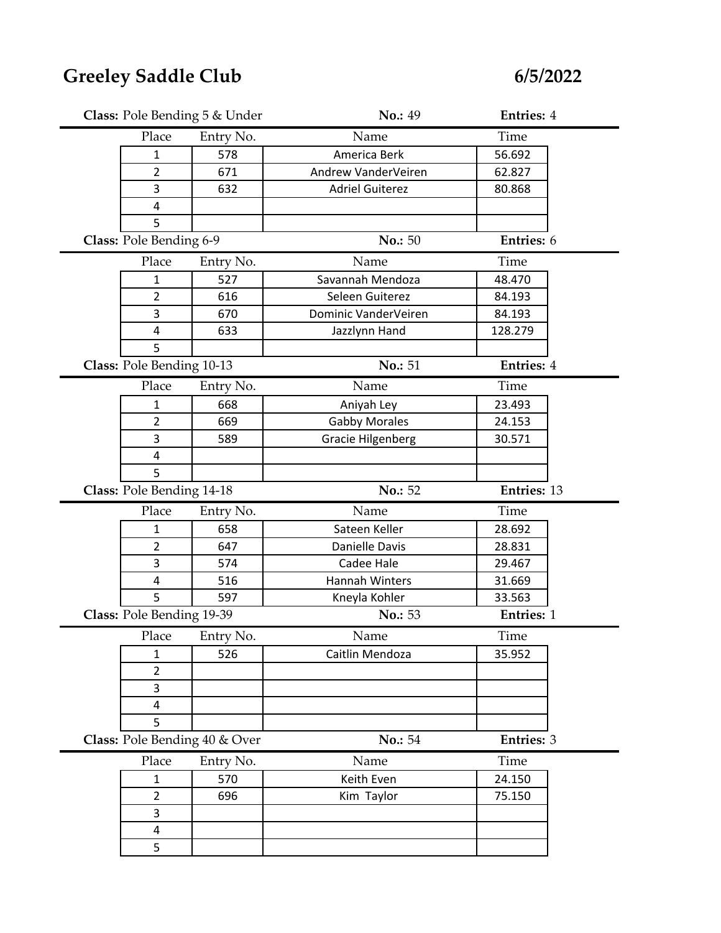|                               | Class: Pole Bending 5 & Under | No.: 49                  | <b>Entries: 4</b> |  |
|-------------------------------|-------------------------------|--------------------------|-------------------|--|
| Place                         | Entry No.                     | Name                     | Time              |  |
| $\mathbf{1}$                  | 578                           | America Berk             | 56.692            |  |
| $\overline{2}$                | 671                           | Andrew VanderVeiren      | 62.827            |  |
| 3                             | 632                           | <b>Adriel Guiterez</b>   | 80.868            |  |
| 4                             |                               |                          |                   |  |
| 5                             |                               |                          |                   |  |
| Class: Pole Bending 6-9       |                               | No.: 50                  | Entries: 6        |  |
| Place                         | Entry No.                     | Name                     | Time              |  |
| 1                             | 527                           | Savannah Mendoza         | 48.470            |  |
| $\overline{2}$                | 616                           | Seleen Guiterez          | 84.193            |  |
| 3                             | 670                           | Dominic VanderVeiren     | 84.193            |  |
| 4                             | 633                           | Jazzlynn Hand            | 128.279           |  |
| 5                             |                               |                          |                   |  |
| Class: Pole Bending 10-13     |                               | No.: 51                  | <b>Entries: 4</b> |  |
| Place                         | Entry No.                     | Name                     | Time              |  |
| $\mathbf{1}$                  | 668                           | Aniyah Ley               | 23.493            |  |
| $\overline{2}$                | 669                           | <b>Gabby Morales</b>     | 24.153            |  |
| 3                             | 589                           | <b>Gracie Hilgenberg</b> | 30.571            |  |
| 4                             |                               |                          |                   |  |
| 5                             |                               |                          |                   |  |
|                               |                               |                          |                   |  |
| Class: Pole Bending 14-18     |                               | No.: 52                  | Entries: 13       |  |
| Place                         | Entry No.                     | Name                     | Time              |  |
| $\mathbf{1}$                  | 658                           | Sateen Keller            | 28.692            |  |
| $\overline{2}$                | 647                           | Danielle Davis           | 28.831            |  |
| 3                             | 574                           | Cadee Hale               | 29.467            |  |
| 4                             | 516                           | Hannah Winters           | 31.669            |  |
| 5                             | 597                           | Kneyla Kohler            | 33.563            |  |
| Class: Pole Bending 19-39     |                               | No.: 53                  | Entries: 1        |  |
| Place                         | Entry No.                     | Name                     | Time              |  |
| $\mathbf{1}$                  | 526                           | Caitlin Mendoza          | 35.952            |  |
| $\overline{2}$                |                               |                          |                   |  |
| 3                             |                               |                          |                   |  |
| 4                             |                               |                          |                   |  |
| 5                             |                               |                          |                   |  |
| Class: Pole Bending 40 & Over |                               | No.: 54                  | <b>Entries: 3</b> |  |
| Place                         | Entry No.                     | Name                     | Time              |  |
| $\mathbf{1}$                  | 570                           | Keith Even               | 24.150            |  |
| $\overline{2}$                | 696                           | Kim Taylor               | 75.150            |  |
| 3                             |                               |                          |                   |  |
| $\overline{\mathbf{4}}$       |                               |                          |                   |  |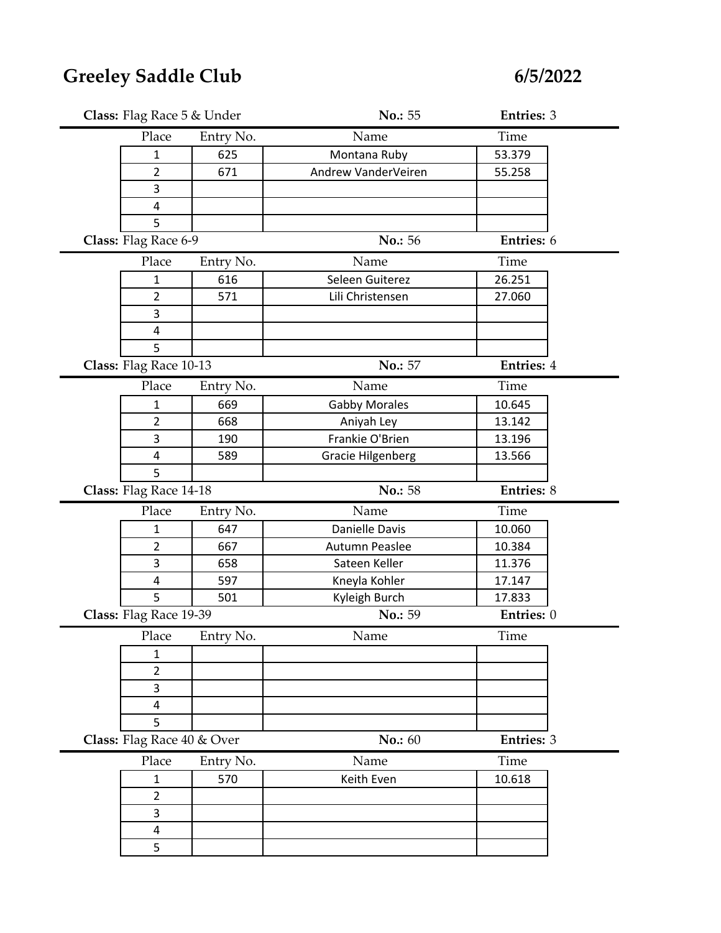| Class: Flag Race 5 & Under |           | No.: 55                  | <b>Entries: 3</b> |
|----------------------------|-----------|--------------------------|-------------------|
| Place                      | Entry No. | Name                     | Time              |
| $\mathbf{1}$               | 625       | Montana Ruby             | 53.379            |
| 2                          | 671       | Andrew VanderVeiren      | 55.258            |
| 3                          |           |                          |                   |
| $\overline{\mathbf{4}}$    |           |                          |                   |
| 5                          |           |                          |                   |
| Class: Flag Race 6-9       |           | No.: 56                  | Entries: 6        |
| Place                      | Entry No. | Name                     | Time              |
| $\mathbf{1}$               | 616       | Seleen Guiterez          | 26.251            |
| $\overline{2}$             | 571       | Lili Christensen         | 27.060            |
| 3                          |           |                          |                   |
| 4                          |           |                          |                   |
| 5                          |           |                          |                   |
| Class: Flag Race 10-13     |           | No.: 57                  | <b>Entries: 4</b> |
| Place                      | Entry No. | Name                     | Time              |
| $\mathbf{1}$               | 669       | <b>Gabby Morales</b>     | 10.645            |
| 2                          | 668       | Aniyah Ley               | 13.142            |
| 3                          | 190       | Frankie O'Brien          | 13.196            |
| $\overline{\mathbf{4}}$    | 589       | <b>Gracie Hilgenberg</b> | 13.566            |
| 5                          |           |                          |                   |
|                            |           | No.: 58                  | Entries: 8        |
| Class: Flag Race 14-18     |           |                          |                   |
| Place                      | Entry No. | Name                     | Time              |
| 1                          | 647       | Danielle Davis           | 10.060            |
| $\overline{2}$             | 667       | Autumn Peaslee           | 10.384            |
| 3                          | 658       | Sateen Keller            | 11.376            |
| 4                          | 597       | Kneyla Kohler            | 17.147            |
| 5                          | 501       | Kyleigh Burch            | 17.833            |
| Class: Flag Race 19-39     |           | No.: 59                  | Entries: 0        |
| Place                      | Entry No. | Name                     | Time              |
| $\mathbf{1}$               |           |                          |                   |
| $\overline{2}$             |           |                          |                   |
| 3                          |           |                          |                   |
| 4                          |           |                          |                   |
| 5                          |           |                          |                   |
| Class: Flag Race 40 & Over |           | No.: 60                  | Entries: 3        |
| Place                      | Entry No. | Name                     | Time              |
| $\mathbf{1}$               | 570       | Keith Even               | 10.618            |
| $\overline{2}$             |           |                          |                   |
| 3                          |           |                          |                   |
| $\overline{\mathbf{4}}$    |           |                          |                   |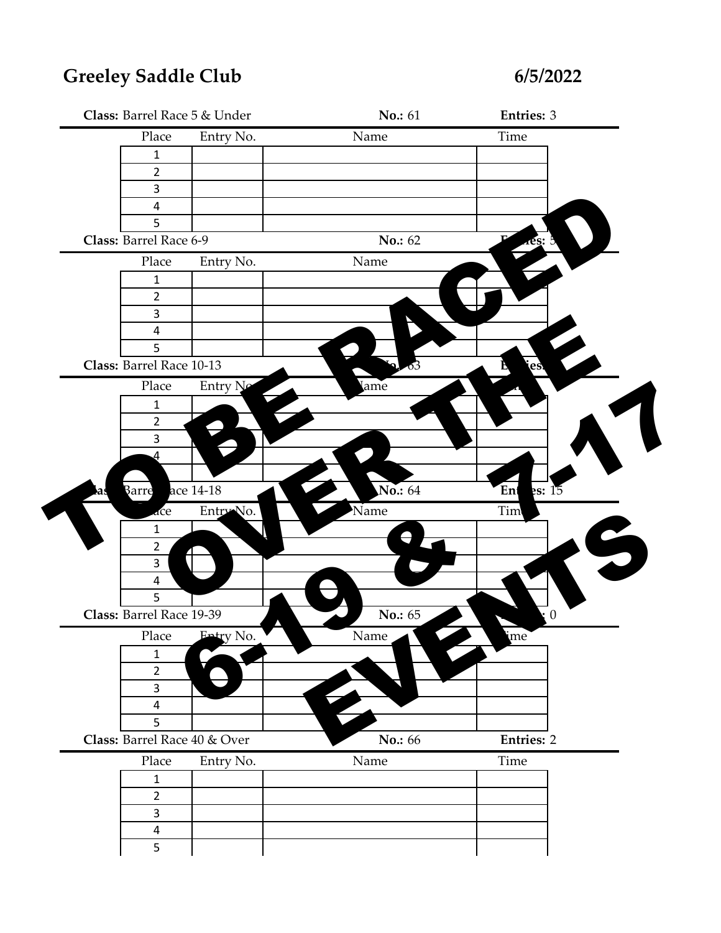